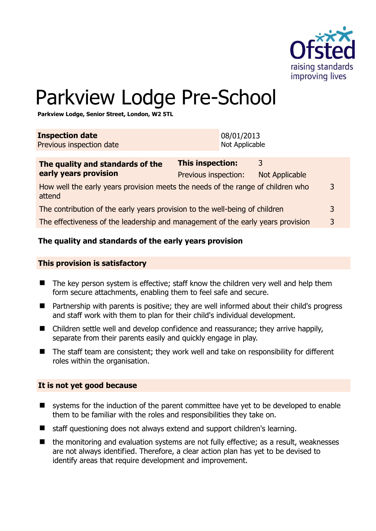

# Parkview Lodge Pre-School

**Parkview Lodge, Senior Street, London, W2 5TL** 

| <b>Inspection date</b><br>Previous inspection date                                        |                                          | 08/01/2013<br>Not Applicable |                     |  |
|-------------------------------------------------------------------------------------------|------------------------------------------|------------------------------|---------------------|--|
| The quality and standards of the<br>early years provision                                 | This inspection:<br>Previous inspection: |                              | 3<br>Not Applicable |  |
| How well the early years provision meets the needs of the range of children who<br>attend |                                          |                              | 3                   |  |
| The contribution of the early years provision to the well-being of children               |                                          |                              | 3                   |  |
| The effectiveness of the leadership and management of the early years provision           |                                          |                              | 3                   |  |
|                                                                                           |                                          |                              |                     |  |

## **The quality and standards of the early years provision**

#### **This provision is satisfactory**

- The key person system is effective; staff know the children very well and help them form secure attachments, enabling them to feel safe and secure.
- Partnership with parents is positive; they are well informed about their child's progress and staff work with them to plan for their child's individual development.
- Children settle well and develop confidence and reassurance; they arrive happily, separate from their parents easily and quickly engage in play.
- The staff team are consistent; they work well and take on responsibility for different roles within the organisation.

#### **It is not yet good because**

- systems for the induction of the parent committee have yet to be developed to enable them to be familiar with the roles and responsibilities they take on.
- staff questioning does not always extend and support children's learning.
- the monitoring and evaluation systems are not fully effective; as a result, weaknesses are not always identified. Therefore, a clear action plan has yet to be devised to identify areas that require development and improvement.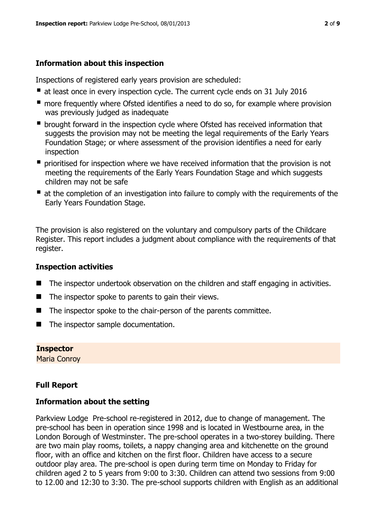## **Information about this inspection**

Inspections of registered early years provision are scheduled:

- at least once in every inspection cycle. The current cycle ends on 31 July 2016
- **n** more frequently where Ofsted identifies a need to do so, for example where provision was previously judged as inadequate
- **•** brought forward in the inspection cycle where Ofsted has received information that suggests the provision may not be meeting the legal requirements of the Early Years Foundation Stage; or where assessment of the provision identifies a need for early inspection
- **P** prioritised for inspection where we have received information that the provision is not meeting the requirements of the Early Years Foundation Stage and which suggests children may not be safe
- at the completion of an investigation into failure to comply with the requirements of the Early Years Foundation Stage.

The provision is also registered on the voluntary and compulsory parts of the Childcare Register. This report includes a judgment about compliance with the requirements of that register.

## **Inspection activities**

- The inspector undertook observation on the children and staff engaging in activities.
- $\blacksquare$  The inspector spoke to parents to gain their views.
- The inspector spoke to the chair-person of the parents committee.
- The inspector sample documentation.

**Inspector** 

Maria Conroy

# **Full Report**

## **Information about the setting**

Parkview Lodge Pre-school re-registered in 2012, due to change of management. The pre-school has been in operation since 1998 and is located in Westbourne area, in the London Borough of Westminster. The pre-school operates in a two-storey building. There are two main play rooms, toilets, a nappy changing area and kitchenette on the ground floor, with an office and kitchen on the first floor. Children have access to a secure outdoor play area. The pre-school is open during term time on Monday to Friday for children aged 2 to 5 years from 9:00 to 3:30. Children can attend two sessions from 9:00 to 12.00 and 12:30 to 3:30. The pre-school supports children with English as an additional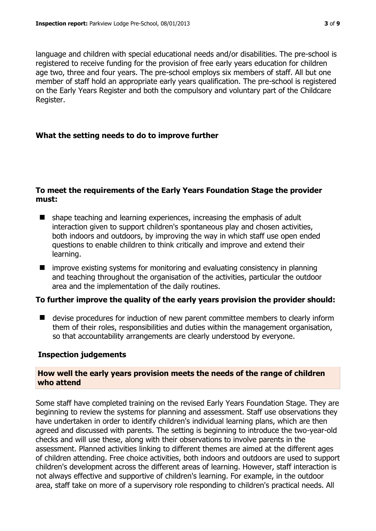language and children with special educational needs and/or disabilities. The pre-school is registered to receive funding for the provision of free early years education for children age two, three and four years. The pre-school employs six members of staff. All but one member of staff hold an appropriate early years qualification. The pre-school is registered on the Early Years Register and both the compulsory and voluntary part of the Childcare Register.

## **What the setting needs to do to improve further**

#### **To meet the requirements of the Early Years Foundation Stage the provider must:**

- $\blacksquare$  shape teaching and learning experiences, increasing the emphasis of adult interaction given to support children's spontaneous play and chosen activities, both indoors and outdoors, by improving the way in which staff use open ended questions to enable children to think critically and improve and extend their learning.
- $\blacksquare$  improve existing systems for monitoring and evaluating consistency in planning and teaching throughout the organisation of the activities, particular the outdoor area and the implementation of the daily routines.

#### **To further improve the quality of the early years provision the provider should:**

■ devise procedures for induction of new parent committee members to clearly inform them of their roles, responsibilities and duties within the management organisation, so that accountability arrangements are clearly understood by everyone.

#### **Inspection judgements**

#### **How well the early years provision meets the needs of the range of children who attend**

Some staff have completed training on the revised Early Years Foundation Stage. They are beginning to review the systems for planning and assessment. Staff use observations they have undertaken in order to identify children's individual learning plans, which are then agreed and discussed with parents. The setting is beginning to introduce the two-year-old checks and will use these, along with their observations to involve parents in the assessment. Planned activities linking to different themes are aimed at the different ages of children attending. Free choice activities, both indoors and outdoors are used to support children's development across the different areas of learning. However, staff interaction is not always effective and supportive of children's learning. For example, in the outdoor area, staff take on more of a supervisory role responding to children's practical needs. All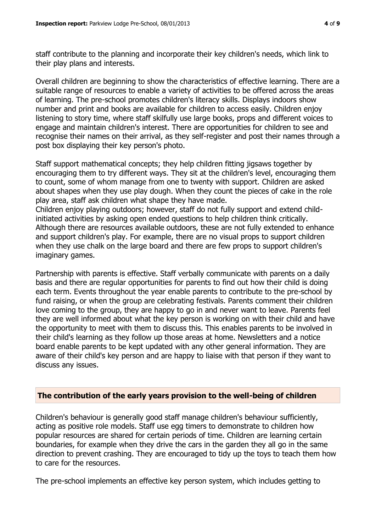staff contribute to the planning and incorporate their key children's needs, which link to their play plans and interests.

Overall children are beginning to show the characteristics of effective learning. There are a suitable range of resources to enable a variety of activities to be offered across the areas of learning. The pre-school promotes children's literacy skills. Displays indoors show number and print and books are available for children to access easily. Children enjoy listening to story time, where staff skilfully use large books, props and different voices to engage and maintain children's interest. There are opportunities for children to see and recognise their names on their arrival, as they self-register and post their names through a post box displaying their key person's photo.

Staff support mathematical concepts; they help children fitting jigsaws together by encouraging them to try different ways. They sit at the children's level, encouraging them to count, some of whom manage from one to twenty with support. Children are asked about shapes when they use play dough. When they count the pieces of cake in the role play area, staff ask children what shape they have made.

Children enjoy playing outdoors; however, staff do not fully support and extend childinitiated activities by asking open ended questions to help children think critically. Although there are resources available outdoors, these are not fully extended to enhance and support children's play. For example, there are no visual props to support children when they use chalk on the large board and there are few props to support children's imaginary games.

Partnership with parents is effective. Staff verbally communicate with parents on a daily basis and there are regular opportunities for parents to find out how their child is doing each term. Events throughout the year enable parents to contribute to the pre-school by fund raising, or when the group are celebrating festivals. Parents comment their children love coming to the group, they are happy to go in and never want to leave. Parents feel they are well informed about what the key person is working on with their child and have the opportunity to meet with them to discuss this. This enables parents to be involved in their child's learning as they follow up those areas at home. Newsletters and a notice board enable parents to be kept updated with any other general information. They are aware of their child's key person and are happy to liaise with that person if they want to discuss any issues.

#### **The contribution of the early years provision to the well-being of children**

Children's behaviour is generally good staff manage children's behaviour sufficiently, acting as positive role models. Staff use egg timers to demonstrate to children how popular resources are shared for certain periods of time. Children are learning certain boundaries, for example when they drive the cars in the garden they all go in the same direction to prevent crashing. They are encouraged to tidy up the toys to teach them how to care for the resources.

The pre-school implements an effective key person system, which includes getting to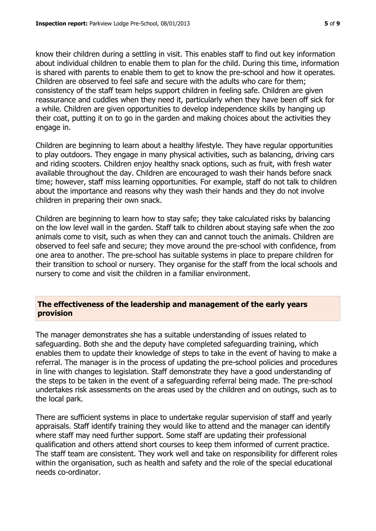know their children during a settling in visit. This enables staff to find out key information about individual children to enable them to plan for the child. During this time, information is shared with parents to enable them to get to know the pre-school and how it operates. Children are observed to feel safe and secure with the adults who care for them; consistency of the staff team helps support children in feeling safe. Children are given reassurance and cuddles when they need it, particularly when they have been off sick for a while. Children are given opportunities to develop independence skills by hanging up their coat, putting it on to go in the garden and making choices about the activities they engage in.

Children are beginning to learn about a healthy lifestyle. They have regular opportunities to play outdoors. They engage in many physical activities, such as balancing, driving cars and riding scooters. Children enjoy healthy snack options, such as fruit, with fresh water available throughout the day. Children are encouraged to wash their hands before snack time; however, staff miss learning opportunities. For example, staff do not talk to children about the importance and reasons why they wash their hands and they do not involve children in preparing their own snack.

Children are beginning to learn how to stay safe; they take calculated risks by balancing on the low level wall in the garden. Staff talk to children about staying safe when the zoo animals come to visit, such as when they can and cannot touch the animals. Children are observed to feel safe and secure; they move around the pre-school with confidence, from one area to another. The pre-school has suitable systems in place to prepare children for their transition to school or nursery. They organise for the staff from the local schools and nursery to come and visit the children in a familiar environment.

## **The effectiveness of the leadership and management of the early years provision**

The manager demonstrates she has a suitable understanding of issues related to safeguarding. Both she and the deputy have completed safeguarding training, which enables them to update their knowledge of steps to take in the event of having to make a referral. The manager is in the process of updating the pre-school policies and procedures in line with changes to legislation. Staff demonstrate they have a good understanding of the steps to be taken in the event of a safeguarding referral being made. The pre-school undertakes risk assessments on the areas used by the children and on outings, such as to the local park.

There are sufficient systems in place to undertake regular supervision of staff and yearly appraisals. Staff identify training they would like to attend and the manager can identify where staff may need further support. Some staff are updating their professional qualification and others attend short courses to keep them informed of current practice. The staff team are consistent. They work well and take on responsibility for different roles within the organisation, such as health and safety and the role of the special educational needs co-ordinator.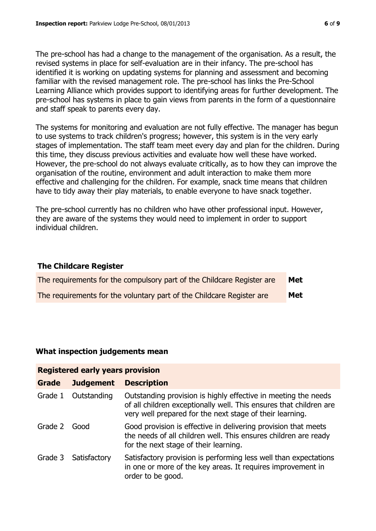The pre-school has had a change to the management of the organisation. As a result, the revised systems in place for self-evaluation are in their infancy. The pre-school has identified it is working on updating systems for planning and assessment and becoming familiar with the revised management role. The pre-school has links the Pre-School Learning Alliance which provides support to identifying areas for further development. The pre-school has systems in place to gain views from parents in the form of a questionnaire and staff speak to parents every day.

The systems for monitoring and evaluation are not fully effective. The manager has begun to use systems to track children's progress; however, this system is in the very early stages of implementation. The staff team meet every day and plan for the children. During this time, they discuss previous activities and evaluate how well these have worked. However, the pre-school do not always evaluate critically, as to how they can improve the organisation of the routine, environment and adult interaction to make them more effective and challenging for the children. For example, snack time means that children have to tidy away their play materials, to enable everyone to have snack together.

The pre-school currently has no children who have other professional input. However, they are aware of the systems they would need to implement in order to support individual children.

#### **The Childcare Register**

| The requirements for the compulsory part of the Childcare Register are | <b>Met</b> |
|------------------------------------------------------------------------|------------|
| The requirements for the voluntary part of the Childcare Register are  | Met        |

#### **What inspection judgements mean**

| <b>Registered early years provision</b> |                      |                                                                                                                                                                                                  |  |  |
|-----------------------------------------|----------------------|--------------------------------------------------------------------------------------------------------------------------------------------------------------------------------------------------|--|--|
| <b>Grade</b>                            | <b>Judgement</b>     | <b>Description</b>                                                                                                                                                                               |  |  |
| Grade 1                                 | Outstanding          | Outstanding provision is highly effective in meeting the needs<br>of all children exceptionally well. This ensures that children are<br>very well prepared for the next stage of their learning. |  |  |
| Grade 2                                 | Good                 | Good provision is effective in delivering provision that meets<br>the needs of all children well. This ensures children are ready<br>for the next stage of their learning.                       |  |  |
|                                         | Grade 3 Satisfactory | Satisfactory provision is performing less well than expectations<br>in one or more of the key areas. It requires improvement in<br>order to be good.                                             |  |  |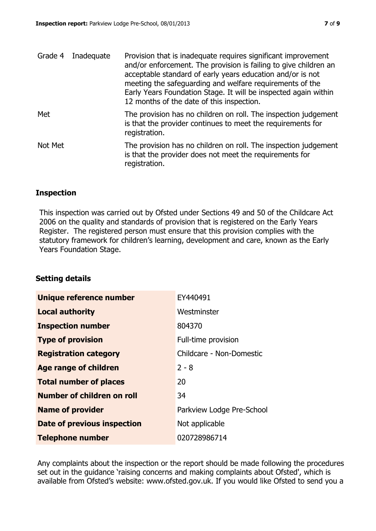|         | Grade 4 Inadequate | Provision that is inadequate requires significant improvement<br>and/or enforcement. The provision is failing to give children an<br>acceptable standard of early years education and/or is not<br>meeting the safeguarding and welfare requirements of the<br>Early Years Foundation Stage. It will be inspected again within<br>12 months of the date of this inspection. |
|---------|--------------------|-----------------------------------------------------------------------------------------------------------------------------------------------------------------------------------------------------------------------------------------------------------------------------------------------------------------------------------------------------------------------------|
| Met     |                    | The provision has no children on roll. The inspection judgement<br>is that the provider continues to meet the requirements for<br>registration.                                                                                                                                                                                                                             |
| Not Met |                    | The provision has no children on roll. The inspection judgement<br>is that the provider does not meet the requirements for<br>registration.                                                                                                                                                                                                                                 |

#### **Inspection**

This inspection was carried out by Ofsted under Sections 49 and 50 of the Childcare Act 2006 on the quality and standards of provision that is registered on the Early Years Register. The registered person must ensure that this provision complies with the statutory framework for children's learning, development and care, known as the Early Years Foundation Stage.

#### **Setting details**

| Unique reference number            | EY440491                  |
|------------------------------------|---------------------------|
| <b>Local authority</b>             | Westminster               |
| <b>Inspection number</b>           | 804370                    |
| <b>Type of provision</b>           | Full-time provision       |
| <b>Registration category</b>       | Childcare - Non-Domestic  |
| <b>Age range of children</b>       | $2 - 8$                   |
| <b>Total number of places</b>      | 20                        |
| Number of children on roll         | 34                        |
| <b>Name of provider</b>            | Parkview Lodge Pre-School |
| <b>Date of previous inspection</b> | Not applicable            |
| <b>Telephone number</b>            | 020728986714              |

Any complaints about the inspection or the report should be made following the procedures set out in the guidance 'raising concerns and making complaints about Ofsted', which is available from Ofsted's website: www.ofsted.gov.uk. If you would like Ofsted to send you a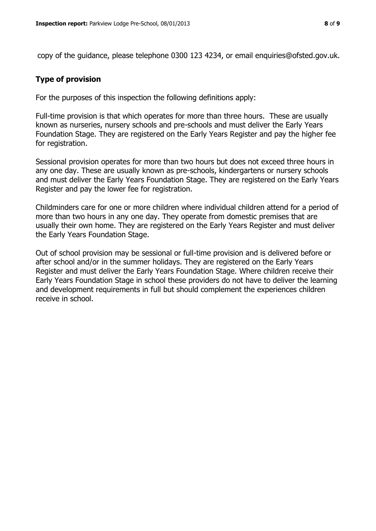copy of the guidance, please telephone 0300 123 4234, or email enquiries@ofsted.gov.uk.

#### **Type of provision**

For the purposes of this inspection the following definitions apply:

Full-time provision is that which operates for more than three hours. These are usually known as nurseries, nursery schools and pre-schools and must deliver the Early Years Foundation Stage. They are registered on the Early Years Register and pay the higher fee for registration.

Sessional provision operates for more than two hours but does not exceed three hours in any one day. These are usually known as pre-schools, kindergartens or nursery schools and must deliver the Early Years Foundation Stage. They are registered on the Early Years Register and pay the lower fee for registration.

Childminders care for one or more children where individual children attend for a period of more than two hours in any one day. They operate from domestic premises that are usually their own home. They are registered on the Early Years Register and must deliver the Early Years Foundation Stage.

Out of school provision may be sessional or full-time provision and is delivered before or after school and/or in the summer holidays. They are registered on the Early Years Register and must deliver the Early Years Foundation Stage. Where children receive their Early Years Foundation Stage in school these providers do not have to deliver the learning and development requirements in full but should complement the experiences children receive in school.